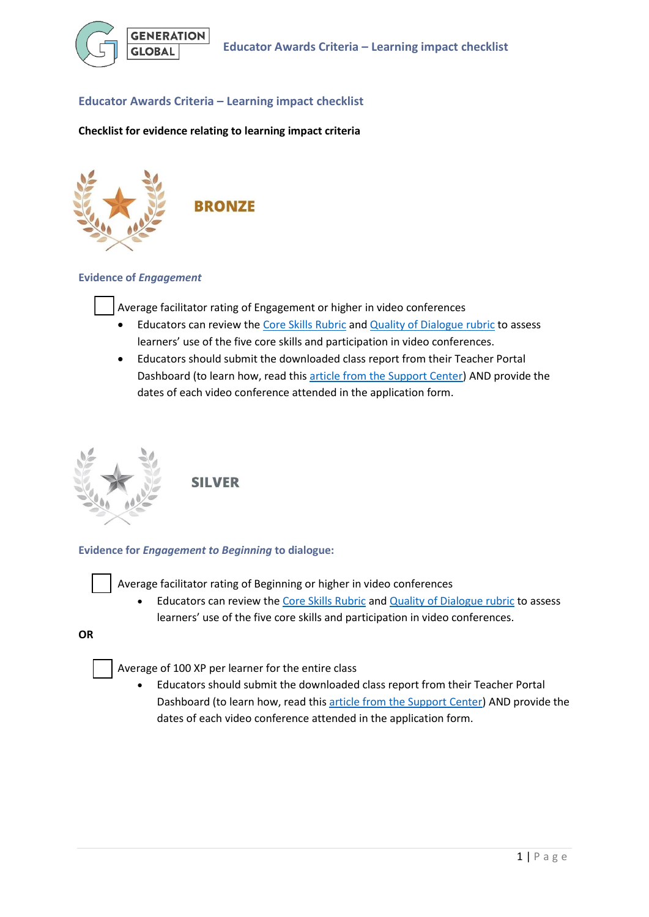

## **Educator Awards Criteria – Learning impact checklist**

### **Checklist for evidence relating to learning impact criteria**



### **Evidence of** *Engagement*

Average facilitator rating of Engagement or higher in video conferences

- Educators can review the [Core Skills Rubric](https://generation.global/teacher-companion-guide#core-skills-framework) an[d Quality of Dialogue rubric](https://generation.global/teacher-companion-guide#quality-vc) to assess learners' use of the five core skills and participation in video conferences.
- Educators should submit the downloaded class report from their Teacher Portal Dashboard (to learn how, read this [article from the Support Center\)](https://support.generation.global/hc/en-gb/articles/5596606216465) AND provide the dates of each video conference attended in the application form.



**SILVER** 

### **Evidence for** *Engagement to Beginning* **to dialogue:**

Average facilitator rating of Beginning or higher in video conferences

Educators can review the [Core Skills Rubric](https://generation.global/teacher-companion-guide#core-skills-framework) an[d Quality of Dialogue rubric](https://generation.global/teacher-companion-guide#quality-vc) to assess learners' use of the five core skills and participation in video conferences.

**OR**

Average of 100 XP per learner for the entire class

• Educators should submit the downloaded class report from their Teacher Portal Dashboard (to learn how, read this [article from the Support Center\)](https://support.generation.global/hc/en-gb/articles/5596606216465) AND provide the dates of each video conference attended in the application form.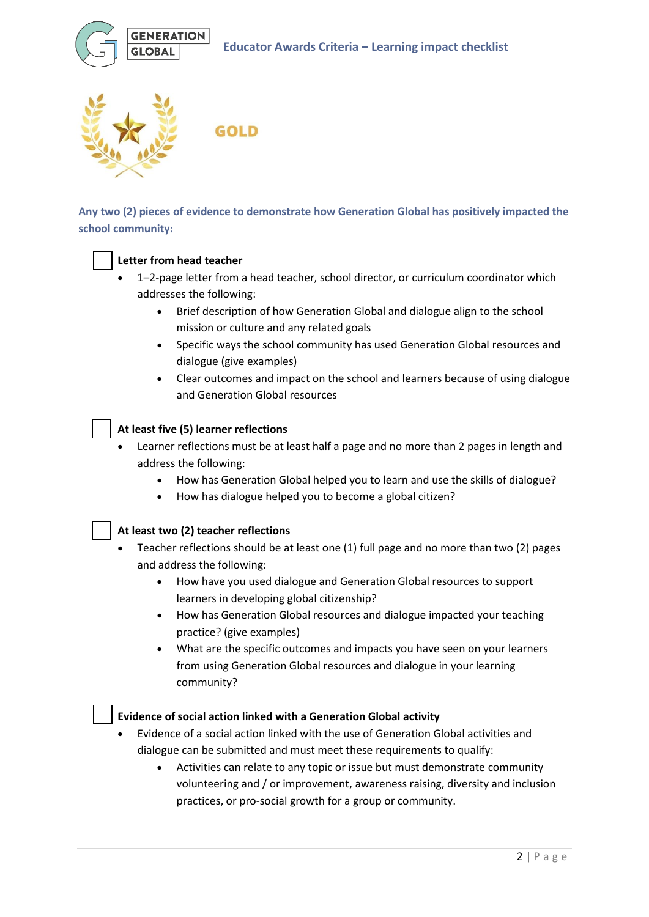



**GOLD** 

**Any two (2) pieces of evidence to demonstrate how Generation Global has positively impacted the school community:**

# **Letter from head teacher**

- 1–2-page letter from a head teacher, school director, or curriculum coordinator which addresses the following:
	- Brief description of how Generation Global and dialogue align to the school mission or culture and any related goals
	- Specific ways the school community has used Generation Global resources and dialogue (give examples)
	- Clear outcomes and impact on the school and learners because of using dialogue and Generation Global resources

## **At least five (5) learner reflections**

- Learner reflections must be at least half a page and no more than 2 pages in length and address the following:
	- How has Generation Global helped you to learn and use the skills of dialogue?
	- How has dialogue helped you to become a global citizen?

## **At least two (2) teacher reflections**

- Teacher reflections should be at least one (1) full page and no more than two (2) pages and address the following:
	- How have you used dialogue and Generation Global resources to support learners in developing global citizenship?
	- How has Generation Global resources and dialogue impacted your teaching practice? (give examples)
	- What are the specific outcomes and impacts you have seen on your learners from using Generation Global resources and dialogue in your learning community?

## **Evidence of social action linked with a Generation Global activity**

- Evidence of a social action linked with the use of Generation Global activities and dialogue can be submitted and must meet these requirements to qualify:
	- Activities can relate to any topic or issue but must demonstrate community volunteering and / or improvement, awareness raising, diversity and inclusion practices, or pro-social growth for a group or community.